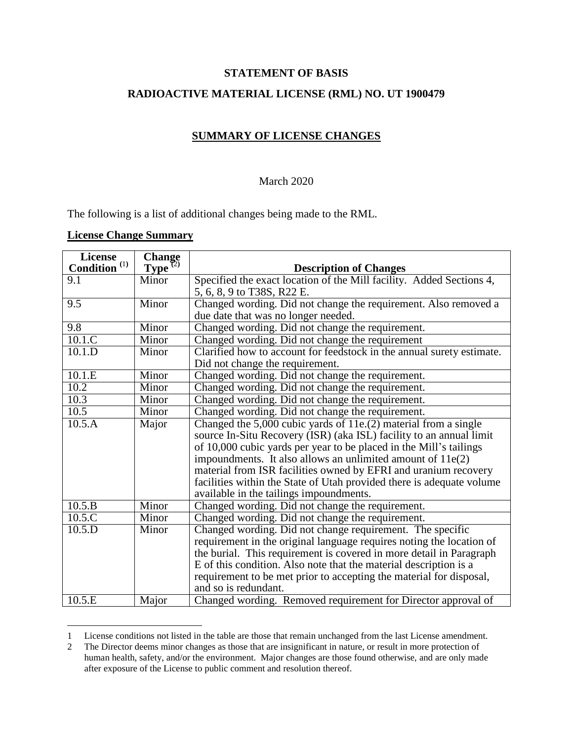### **STATEMENT OF BASIS**

## **RADIOACTIVE MATERIAL LICENSE (RML) NO. UT 1900479**

# **SUMMARY OF LICENSE CHANGES**

#### March 2020

The following is a list of additional changes being made to the RML.

### **License Change Summary**

 $\overline{\phantom{a}}$ 

| License                         |                               |                                                                       |
|---------------------------------|-------------------------------|-----------------------------------------------------------------------|
| <b>Condition</b> <sup>(1)</sup> | Change<br>Type <sup>(2)</sup> | <b>Description of Changes</b>                                         |
| $\overline{9.1}$                | Minor                         | Specified the exact location of the Mill facility. Added Sections 4,  |
|                                 |                               | 5, 6, 8, 9 to T38S, R22 E.                                            |
| $\overline{9.5}$                | Minor                         | Changed wording. Did not change the requirement. Also removed a       |
|                                 |                               | due date that was no longer needed.                                   |
| $\overline{9.8}$                | Minor                         | Changed wording. Did not change the requirement.                      |
| 10.1.C                          | Minor                         | Changed wording. Did not change the requirement                       |
| 10.1.D                          | Minor                         | Clarified how to account for feedstock in the annual surety estimate. |
|                                 |                               | Did not change the requirement.                                       |
| 10.1.E                          | Minor                         | Changed wording. Did not change the requirement.                      |
| 10.2                            | Minor                         | Changed wording. Did not change the requirement.                      |
| 10.3                            | Minor                         | Changed wording. Did not change the requirement.                      |
| $\overline{10.5}$               | Minor                         | Changed wording. Did not change the requirement.                      |
| 10.5.A                          | Major                         | Changed the $5,000$ cubic yards of $11e(2)$ material from a single    |
|                                 |                               | source In-Situ Recovery (ISR) (aka ISL) facility to an annual limit   |
|                                 |                               | of 10,000 cubic yards per year to be placed in the Mill's tailings    |
|                                 |                               | impoundments. It also allows an unlimited amount of $11e(2)$          |
|                                 |                               | material from ISR facilities owned by EFRI and uranium recovery       |
|                                 |                               | facilities within the State of Utah provided there is adequate volume |
|                                 |                               | available in the tailings impoundments.                               |
| 10.5.B                          | Minor                         | Changed wording. Did not change the requirement.                      |
| 10.5.C                          | Minor                         | Changed wording. Did not change the requirement.                      |
| 10.5.D                          | Minor                         | Changed wording. Did not change requirement. The specific             |
|                                 |                               | requirement in the original language requires noting the location of  |
|                                 |                               | the burial. This requirement is covered in more detail in Paragraph   |
|                                 |                               | E of this condition. Also note that the material description is a     |
|                                 |                               | requirement to be met prior to accepting the material for disposal,   |
|                                 |                               | and so is redundant.                                                  |
| 10.5.E                          | Major                         | Changed wording. Removed requirement for Director approval of         |

<sup>1</sup> License conditions not listed in the table are those that remain unchanged from the last License amendment.

<sup>2</sup> The Director deems minor changes as those that are insignificant in nature, or result in more protection of human health, safety, and/or the environment. Major changes are those found otherwise, and are only made after exposure of the License to public comment and resolution thereof.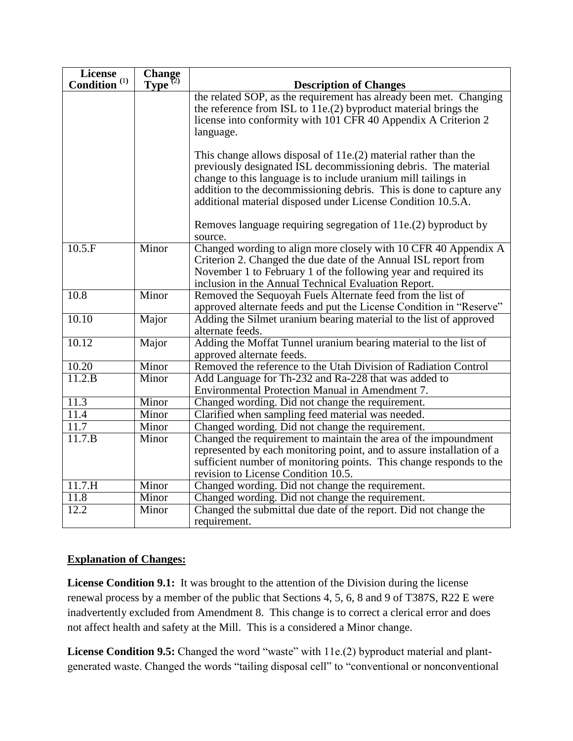| <b>License</b>                  | Change<br>Type <sup>(2)</sup> |                                                                                        |
|---------------------------------|-------------------------------|----------------------------------------------------------------------------------------|
| <b>Condition</b> <sup>(1)</sup> |                               | <b>Description of Changes</b>                                                          |
|                                 |                               | the related SOP, as the requirement has already been met. Changing                     |
|                                 |                               | the reference from ISL to 11e.(2) byproduct material brings the                        |
|                                 |                               | license into conformity with 101 CFR 40 Appendix A Criterion 2                         |
|                                 |                               | language.                                                                              |
|                                 |                               | This change allows disposal of $11e(2)$ material rather than the                       |
|                                 |                               | previously designated ISL decommissioning debris. The material                         |
|                                 |                               | change to this language is to include uranium mill tailings in                         |
|                                 |                               | addition to the decommissioning debris. This is done to capture any                    |
|                                 |                               | additional material disposed under License Condition 10.5.A.                           |
|                                 |                               | Removes language requiring segregation of 11e.(2) byproduct by<br>source.              |
| $10.5 \text{ F}$                | Minor                         | Changed wording to align more closely with 10 CFR 40 Appendix A                        |
|                                 |                               | Criterion 2. Changed the due date of the Annual ISL report from                        |
|                                 |                               | November 1 to February 1 of the following year and required its                        |
|                                 |                               | inclusion in the Annual Technical Evaluation Report.                                   |
| $\overline{10.8}$               | Minor                         | Removed the Sequoyah Fuels Alternate feed from the list of                             |
|                                 |                               | approved alternate feeds and put the License Condition in "Reserve"                    |
| 10.10                           | Major                         | Adding the Silmet uranium bearing material to the list of approved<br>alternate feeds. |
| 10.12                           | Major                         | Adding the Moffat Tunnel uranium bearing material to the list of                       |
|                                 |                               | approved alternate feeds.                                                              |
| 10.20                           | Minor                         | Removed the reference to the Utah Division of Radiation Control                        |
| 11.2.B                          | Minor                         | Add Language for Th-232 and Ra-228 that was added to                                   |
|                                 |                               | Environmental Protection Manual in Amendment 7.                                        |
| 11.3                            | Minor                         | Changed wording. Did not change the requirement.                                       |
| 11.4                            | Minor                         | Clarified when sampling feed material was needed.                                      |
| 11.7                            | Minor                         | Changed wording. Did not change the requirement.                                       |
| 11.7.B                          | Minor                         | Changed the requirement to maintain the area of the impoundment                        |
|                                 |                               | represented by each monitoring point, and to assure installation of a                  |
|                                 |                               | sufficient number of monitoring points. This change responds to the                    |
|                                 |                               | revision to License Condition 10.5.                                                    |
| 11.7.H                          | Minor                         | Changed wording. Did not change the requirement.                                       |
| 11.8                            | Minor                         | Changed wording. Did not change the requirement.                                       |
| 12.2                            | Minor                         | Changed the submittal due date of the report. Did not change the                       |
|                                 |                               | requirement.                                                                           |

# **Explanation of Changes:**

**License Condition 9.1:** It was brought to the attention of the Division during the license renewal process by a member of the public that Sections 4, 5, 6, 8 and 9 of T387S, R22 E were inadvertently excluded from Amendment 8. This change is to correct a clerical error and does not affect health and safety at the Mill. This is a considered a Minor change.

**License Condition 9.5:** Changed the word "waste" with 11e.(2) byproduct material and plantgenerated waste. Changed the words "tailing disposal cell" to "conventional or nonconventional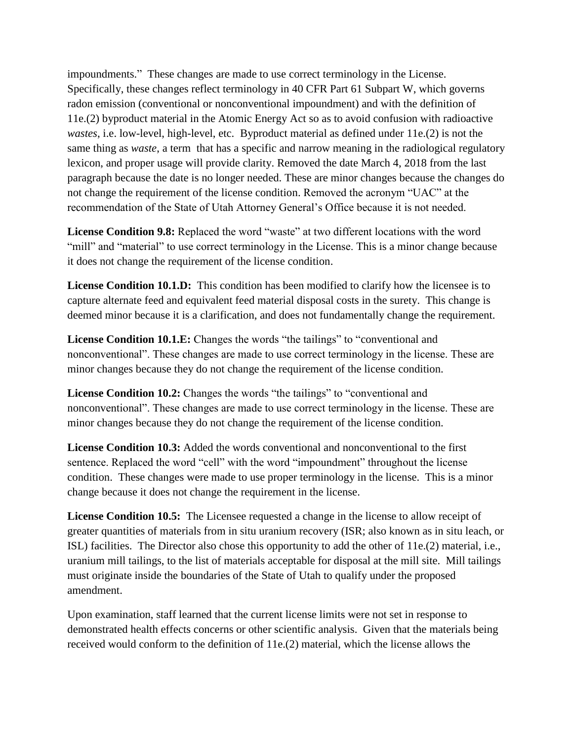impoundments." These changes are made to use correct terminology in the License. Specifically, these changes reflect terminology in 40 CFR Part 61 Subpart W, which governs radon emission (conventional or nonconventional impoundment) and with the definition of 11e.(2) byproduct material in the Atomic Energy Act so as to avoid confusion with radioactive *wastes*, i.e. low-level, high-level, etc. Byproduct material as defined under 11e.(2) is not the same thing as *waste*, a term that has a specific and narrow meaning in the radiological regulatory lexicon, and proper usage will provide clarity. Removed the date March 4, 2018 from the last paragraph because the date is no longer needed. These are minor changes because the changes do not change the requirement of the license condition. Removed the acronym "UAC" at the recommendation of the State of Utah Attorney General's Office because it is not needed.

**License Condition 9.8:** Replaced the word "waste" at two different locations with the word "mill" and "material" to use correct terminology in the License. This is a minor change because it does not change the requirement of the license condition.

License Condition 10.1.D: This condition has been modified to clarify how the licensee is to capture alternate feed and equivalent feed material disposal costs in the surety. This change is deemed minor because it is a clarification, and does not fundamentally change the requirement.

License Condition 10.1.E: Changes the words "the tailings" to "conventional and nonconventional". These changes are made to use correct terminology in the license. These are minor changes because they do not change the requirement of the license condition.

License Condition 10.2: Changes the words "the tailings" to "conventional and nonconventional". These changes are made to use correct terminology in the license. These are minor changes because they do not change the requirement of the license condition.

**License Condition 10.3:** Added the words conventional and nonconventional to the first sentence. Replaced the word "cell" with the word "impoundment" throughout the license condition. These changes were made to use proper terminology in the license. This is a minor change because it does not change the requirement in the license.

**License Condition 10.5:** The Licensee requested a change in the license to allow receipt of greater quantities of materials from in situ uranium recovery (ISR; also known as in situ leach, or ISL) facilities. The Director also chose this opportunity to add the other of 11e.(2) material, i.e., uranium mill tailings, to the list of materials acceptable for disposal at the mill site. Mill tailings must originate inside the boundaries of the State of Utah to qualify under the proposed amendment.

Upon examination, staff learned that the current license limits were not set in response to demonstrated health effects concerns or other scientific analysis. Given that the materials being received would conform to the definition of 11e.(2) material, which the license allows the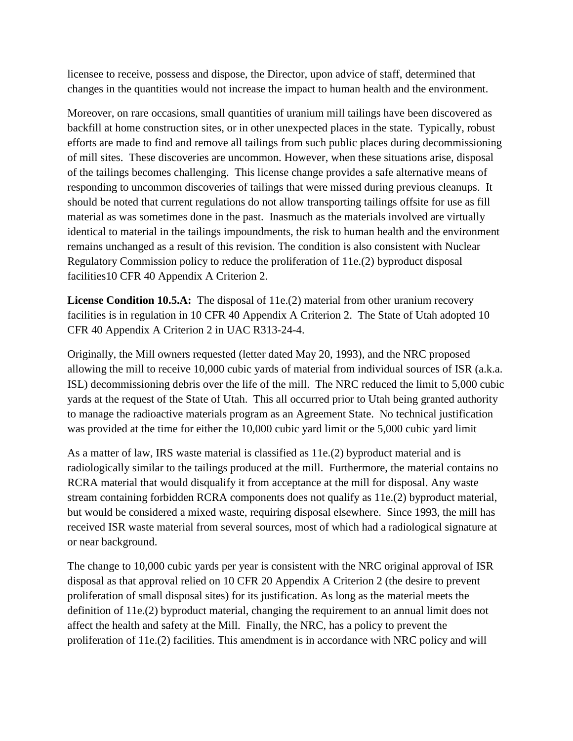licensee to receive, possess and dispose, the Director, upon advice of staff, determined that changes in the quantities would not increase the impact to human health and the environment.

Moreover, on rare occasions, small quantities of uranium mill tailings have been discovered as backfill at home construction sites, or in other unexpected places in the state. Typically, robust efforts are made to find and remove all tailings from such public places during decommissioning of mill sites. These discoveries are uncommon. However, when these situations arise, disposal of the tailings becomes challenging. This license change provides a safe alternative means of responding to uncommon discoveries of tailings that were missed during previous cleanups. It should be noted that current regulations do not allow transporting tailings offsite for use as fill material as was sometimes done in the past. Inasmuch as the materials involved are virtually identical to material in the tailings impoundments, the risk to human health and the environment remains unchanged as a result of this revision. The condition is also consistent with Nuclear Regulatory Commission policy to reduce the proliferation of 11e.(2) byproduct disposal facilities10 CFR 40 Appendix A Criterion 2.

**License Condition 10.5.A:** The disposal of 11e.(2) material from other uranium recovery facilities is in regulation in 10 CFR 40 Appendix A Criterion 2. The State of Utah adopted 10 CFR 40 Appendix A Criterion 2 in UAC R313-24-4.

Originally, the Mill owners requested (letter dated May 20, 1993), and the NRC proposed allowing the mill to receive 10,000 cubic yards of material from individual sources of ISR (a.k.a. ISL) decommissioning debris over the life of the mill. The NRC reduced the limit to 5,000 cubic yards at the request of the State of Utah. This all occurred prior to Utah being granted authority to manage the radioactive materials program as an Agreement State. No technical justification was provided at the time for either the 10,000 cubic yard limit or the 5,000 cubic yard limit

As a matter of law, IRS waste material is classified as 11e.(2) byproduct material and is radiologically similar to the tailings produced at the mill. Furthermore, the material contains no RCRA material that would disqualify it from acceptance at the mill for disposal. Any waste stream containing forbidden RCRA components does not qualify as 11e.(2) byproduct material, but would be considered a mixed waste, requiring disposal elsewhere. Since 1993, the mill has received ISR waste material from several sources, most of which had a radiological signature at or near background.

The change to 10,000 cubic yards per year is consistent with the NRC original approval of ISR disposal as that approval relied on 10 CFR 20 Appendix A Criterion 2 (the desire to prevent proliferation of small disposal sites) for its justification. As long as the material meets the definition of 11e.(2) byproduct material, changing the requirement to an annual limit does not affect the health and safety at the Mill. Finally, the NRC, has a policy to prevent the proliferation of 11e.(2) facilities. This amendment is in accordance with NRC policy and will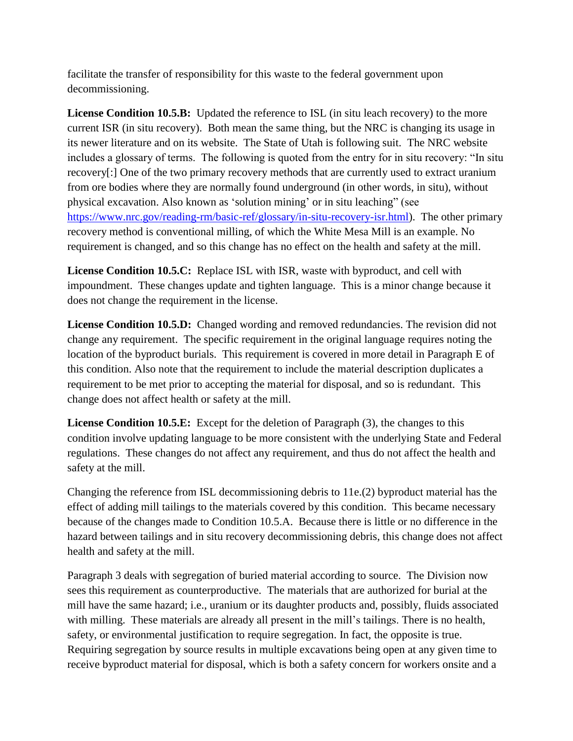facilitate the transfer of responsibility for this waste to the federal government upon decommissioning.

License Condition 10.5.B: Updated the reference to ISL (in situ leach recovery) to the more current ISR (in situ recovery). Both mean the same thing, but the NRC is changing its usage in its newer literature and on its website. The State of Utah is following suit. The NRC website includes a glossary of terms. The following is quoted from the entry for in situ recovery: "In situ recovery[:] One of the two primary recovery methods that are currently used to extract uranium from ore bodies where they are normally found underground (in other words, in situ), without physical excavation. Also known as 'solution mining' or in situ leaching" (see [https://www.nrc.gov/reading-rm/basic-ref/glossary/in-situ-recovery-isr.html\)](https://www.nrc.gov/reading-rm/basic-ref/glossary/in-situ-recovery-isr.html). The other primary recovery method is conventional milling, of which the White Mesa Mill is an example. No requirement is changed, and so this change has no effect on the health and safety at the mill.

**License Condition 10.5.C:** Replace ISL with ISR, waste with byproduct, and cell with impoundment. These changes update and tighten language. This is a minor change because it does not change the requirement in the license.

License Condition 10.5.D: Changed wording and removed redundancies. The revision did not change any requirement. The specific requirement in the original language requires noting the location of the byproduct burials. This requirement is covered in more detail in Paragraph E of this condition. Also note that the requirement to include the material description duplicates a requirement to be met prior to accepting the material for disposal, and so is redundant. This change does not affect health or safety at the mill.

**License Condition 10.5.E:** Except for the deletion of Paragraph (3), the changes to this condition involve updating language to be more consistent with the underlying State and Federal regulations. These changes do not affect any requirement, and thus do not affect the health and safety at the mill.

Changing the reference from ISL decommissioning debris to 11e.(2) byproduct material has the effect of adding mill tailings to the materials covered by this condition. This became necessary because of the changes made to Condition 10.5.A. Because there is little or no difference in the hazard between tailings and in situ recovery decommissioning debris, this change does not affect health and safety at the mill.

Paragraph 3 deals with segregation of buried material according to source. The Division now sees this requirement as counterproductive. The materials that are authorized for burial at the mill have the same hazard; i.e., uranium or its daughter products and, possibly, fluids associated with milling. These materials are already all present in the mill's tailings. There is no health, safety, or environmental justification to require segregation. In fact, the opposite is true. Requiring segregation by source results in multiple excavations being open at any given time to receive byproduct material for disposal, which is both a safety concern for workers onsite and a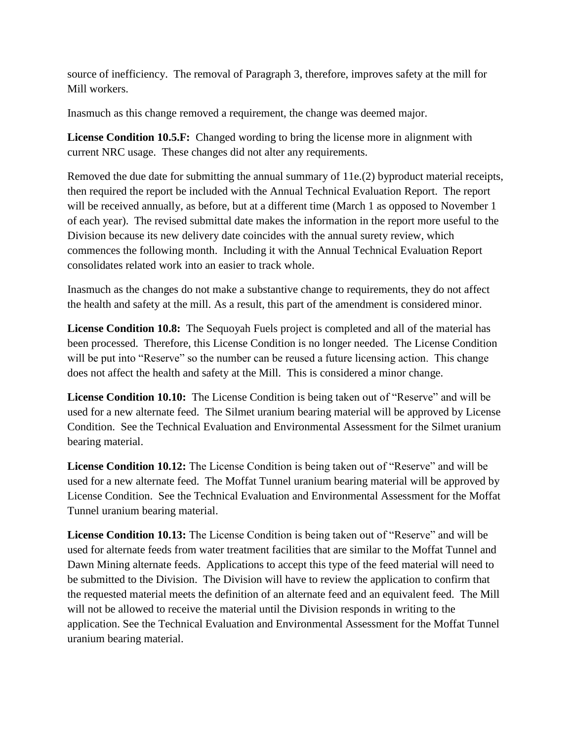source of inefficiency. The removal of Paragraph 3, therefore, improves safety at the mill for Mill workers.

Inasmuch as this change removed a requirement, the change was deemed major.

**License Condition 10.5.F:** Changed wording to bring the license more in alignment with current NRC usage. These changes did not alter any requirements.

Removed the due date for submitting the annual summary of 11e.(2) byproduct material receipts, then required the report be included with the Annual Technical Evaluation Report. The report will be received annually, as before, but at a different time (March 1 as opposed to November 1 of each year). The revised submittal date makes the information in the report more useful to the Division because its new delivery date coincides with the annual surety review, which commences the following month. Including it with the Annual Technical Evaluation Report consolidates related work into an easier to track whole.

Inasmuch as the changes do not make a substantive change to requirements, they do not affect the health and safety at the mill. As a result, this part of the amendment is considered minor.

**License Condition 10.8:** The Sequoyah Fuels project is completed and all of the material has been processed. Therefore, this License Condition is no longer needed. The License Condition will be put into "Reserve" so the number can be reused a future licensing action. This change does not affect the health and safety at the Mill. This is considered a minor change.

**License Condition 10.10:** The License Condition is being taken out of "Reserve" and will be used for a new alternate feed. The Silmet uranium bearing material will be approved by License Condition. See the Technical Evaluation and Environmental Assessment for the Silmet uranium bearing material.

**License Condition 10.12:** The License Condition is being taken out of "Reserve" and will be used for a new alternate feed. The Moffat Tunnel uranium bearing material will be approved by License Condition. See the Technical Evaluation and Environmental Assessment for the Moffat Tunnel uranium bearing material.

**License Condition 10.13:** The License Condition is being taken out of "Reserve" and will be used for alternate feeds from water treatment facilities that are similar to the Moffat Tunnel and Dawn Mining alternate feeds. Applications to accept this type of the feed material will need to be submitted to the Division. The Division will have to review the application to confirm that the requested material meets the definition of an alternate feed and an equivalent feed. The Mill will not be allowed to receive the material until the Division responds in writing to the application. See the Technical Evaluation and Environmental Assessment for the Moffat Tunnel uranium bearing material.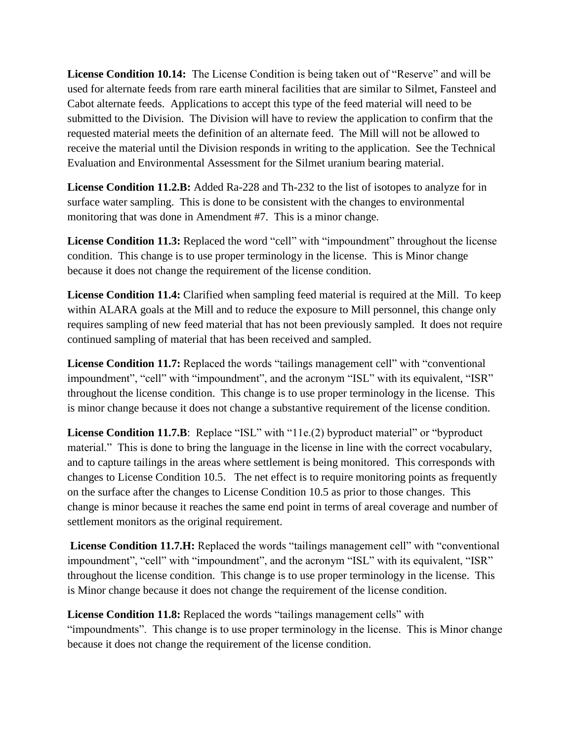**License Condition 10.14:** The License Condition is being taken out of "Reserve" and will be used for alternate feeds from rare earth mineral facilities that are similar to Silmet, Fansteel and Cabot alternate feeds. Applications to accept this type of the feed material will need to be submitted to the Division. The Division will have to review the application to confirm that the requested material meets the definition of an alternate feed. The Mill will not be allowed to receive the material until the Division responds in writing to the application. See the Technical Evaluation and Environmental Assessment for the Silmet uranium bearing material.

**License Condition 11.2.B:** Added Ra-228 and Th-232 to the list of isotopes to analyze for in surface water sampling. This is done to be consistent with the changes to environmental monitoring that was done in Amendment #7. This is a minor change.

License Condition 11.3: Replaced the word "cell" with "impoundment" throughout the license condition. This change is to use proper terminology in the license. This is Minor change because it does not change the requirement of the license condition.

**License Condition 11.4:** Clarified when sampling feed material is required at the Mill. To keep within ALARA goals at the Mill and to reduce the exposure to Mill personnel, this change only requires sampling of new feed material that has not been previously sampled. It does not require continued sampling of material that has been received and sampled.

License Condition 11.7: Replaced the words "tailings management cell" with "conventional impoundment", "cell" with "impoundment", and the acronym "ISL" with its equivalent, "ISR" throughout the license condition. This change is to use proper terminology in the license. This is minor change because it does not change a substantive requirement of the license condition.

**License Condition 11.7.B**: Replace "ISL" with "11e.(2) byproduct material" or "byproduct" material." This is done to bring the language in the license in line with the correct vocabulary, and to capture tailings in the areas where settlement is being monitored. This corresponds with changes to License Condition 10.5. The net effect is to require monitoring points as frequently on the surface after the changes to License Condition 10.5 as prior to those changes. This change is minor because it reaches the same end point in terms of areal coverage and number of settlement monitors as the original requirement.

License Condition 11.7.H: Replaced the words "tailings management cell" with "conventional impoundment", "cell" with "impoundment", and the acronym "ISL" with its equivalent, "ISR" throughout the license condition. This change is to use proper terminology in the license. This is Minor change because it does not change the requirement of the license condition.

**License Condition 11.8:** Replaced the words "tailings management cells" with "impoundments". This change is to use proper terminology in the license. This is Minor change because it does not change the requirement of the license condition.